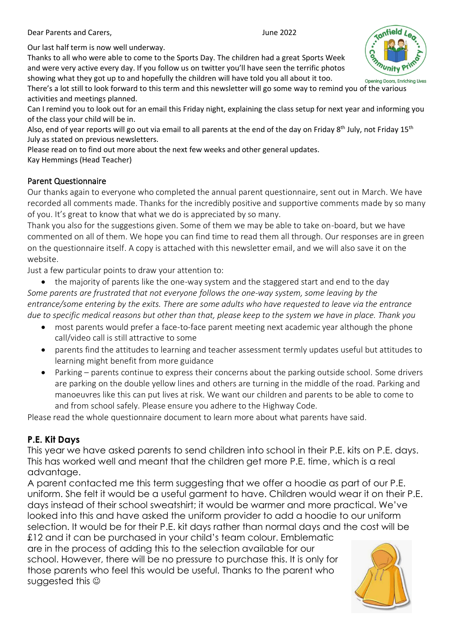Dear Parents and Carers, June 2022

Our last half term is now well underway.

Thanks to all who were able to come to the Sports Day. The children had a great Sports Week and were very active every day. If you follow us on twitter you'll have seen the terrific photos showing what they got up to and hopefully the children will have told you all about it too.

There's a lot still to look forward to this term and this newsletter will go some way to remind you of the various activities and meetings planned.

Can I remind you to look out for an email this Friday night, explaining the class setup for next year and informing you of the class your child will be in.

Also, end of year reports will go out via email to all parents at the end of the day on Friday 8<sup>th</sup> July, not Friday 15<sup>th</sup> July as stated on previous newsletters.

Please read on to find out more about the next few weeks and other general updates.

Kay Hemmings (Head Teacher)

#### Parent Questionnaire

Our thanks again to everyone who completed the annual parent questionnaire, sent out in March. We have recorded all comments made. Thanks for the incredibly positive and supportive comments made by so many of you. It's great to know that what we do is appreciated by so many.

Thank you also for the suggestions given. Some of them we may be able to take on-board, but we have commented on all of them. We hope you can find time to read them all through. Our responses are in green on the questionnaire itself. A copy is attached with this newsletter email, and we will also save it on the website.

Just a few particular points to draw your attention to:

• the majority of parents like the one-way system and the staggered start and end to the day *Some parents are frustrated that not everyone follows the one-way system, some leaving by the entrance/some entering by the exits. There are some adults who have requested to leave via the entrance due to specific medical reasons but other than that, please keep to the system we have in place. Thank you*

- most parents would prefer a face-to-face parent meeting next academic year although the phone call/video call is still attractive to some
- parents find the attitudes to learning and teacher assessment termly updates useful but attitudes to learning might benefit from more guidance
- Parking parents continue to express their concerns about the parking outside school. Some drivers are parking on the double yellow lines and others are turning in the middle of the road. Parking and manoeuvres like this can put lives at risk. We want our children and parents to be able to come to and from school safely. Please ensure you adhere to the Highway Code.

Please read the whole questionnaire document to learn more about what parents have said.

#### **P.E. Kit Days**

This year we have asked parents to send children into school in their P.E. kits on P.E. days. This has worked well and meant that the children get more P.E. time, which is a real advantage.

A parent contacted me this term suggesting that we offer a hoodie as part of our P.E. uniform. She felt it would be a useful garment to have. Children would wear it on their P.E. days instead of their school sweatshirt; it would be warmer and more practical. We've looked into this and have asked the uniform provider to add a hoodie to our uniform selection. It would be for their P.E. kit days rather than normal days and the cost will be

£12 and it can be purchased in your child's team colour. Emblematic are in the process of adding this to the selection available for our school. However, there will be no pressure to purchase this. It is only for those parents who feel this would be useful. Thanks to the parent who suggested this  $\odot$ 



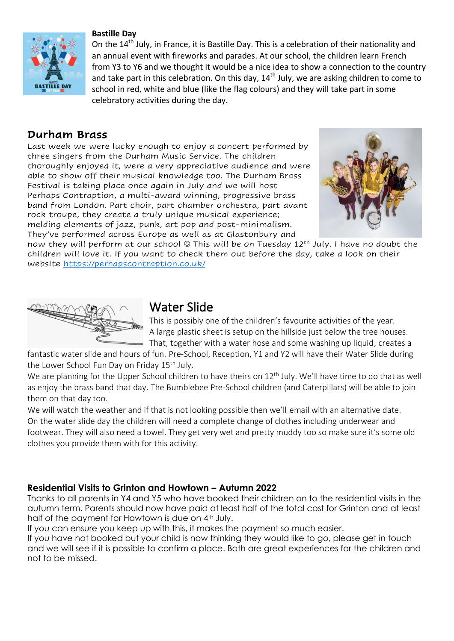

#### **Bastille Day**

On the 14<sup>th</sup> July, in France, it is Bastille Day. This is a celebration of their nationality and an annual event with fireworks and parades. At our school, the children learn French from Y3 to Y6 and we thought it would be a nice idea to show a connection to the country and take part in this celebration. On this day,  $14<sup>th</sup>$  July, we are asking children to come to school in red, white and blue (like the flag colours) and they will take part in some celebratory activities during the day.

## **Durham Brass**

Last week we were lucky enough to enjoy a concert performed by three singers from the Durham Music Service. The children thoroughly enjoyed it, were a very appreciative audience and were able to show off their musical knowledge too. The Durham Brass Festival is taking place once again in July and we will host Perhaps Contraption, a multi-award winning, progressive brass band from London. Part choir, part chamber orchestra, part avant rock troupe, they create a truly unique musical experience; melding elements of jazz, punk, art pop and post-minimalism. They've performed across Europe as well as at Glastonbury and



now they will perform at our school © This will be on Tuesday 12<sup>th</sup> July. I have no doubt the children will love it. If you want to check them out before the day, take a look on their website <https://perhapscontraption.co.uk/>



# Water Slide

This is possibly one of the children's favourite activities of the year. A large plastic sheet is setup on the hillside just below the tree houses. That, together with a water hose and some washing up liquid, creates a

fantastic water slide and hours of fun. Pre-School, Reception, Y1 and Y2 will have their Water Slide during the Lower School Fun Day on Friday 15<sup>th</sup> July.

We are planning for the Upper School children to have theirs on 12<sup>th</sup> July. We'll have time to do that as well as enjoy the brass band that day. The Bumblebee Pre-School children (and Caterpillars) will be able to join them on that day too.

We will watch the weather and if that is not looking possible then we'll email with an alternative date. On the water slide day the children will need a complete change of clothes including underwear and footwear. They will also need a towel. They get very wet and pretty muddy too so make sure it's some old clothes you provide them with for this activity.

### **Residential Visits to Grinton and Howtown – Autumn 2022**

Thanks to all parents in Y4 and Y5 who have booked their children on to the residential visits in the autumn term. Parents should now have paid at least half of the total cost for Grinton and at least half of the payment for Howtown is due on 4<sup>th</sup> July.

If you can ensure you keep up with this, it makes the payment so much easier.

If you have not booked but your child is now thinking they would like to go, please get in touch and we will see if it is possible to confirm a place. Both are great experiences for the children and not to be missed.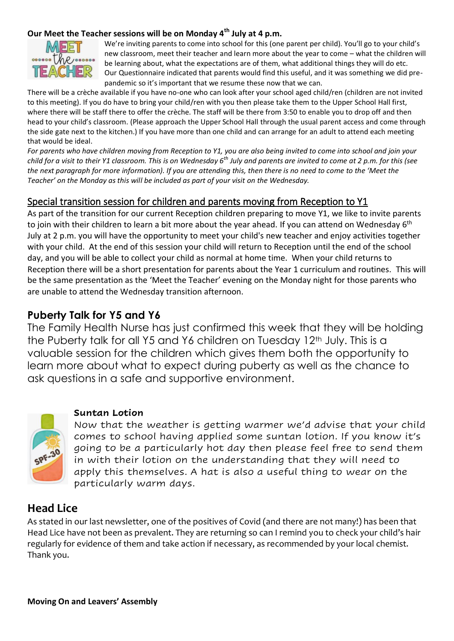#### **Our Meet the Teacher sessions will be on Monday 4th July at 4 p.m.**



We're inviting parents to come into school for this (one parent per child). You'll go to your child's new classroom, meet their teacher and learn more about the year to come – what the children will be learning about, what the expectations are of them, what additional things they will do etc. Our Questionnaire indicated that parents would find this useful, and it was something we did prepandemic so it's important that we resume these now that we can.

There will be a crèche available if you have no-one who can look after your school aged child/ren (children are not invited to this meeting). If you do have to bring your child/ren with you then please take them to the Upper School Hall first, where there will be staff there to offer the crèche. The staff will be there from 3:50 to enable you to drop off and then head to your child's classroom. (Please approach the Upper School Hall through the usual parent access and come through the side gate next to the kitchen.) If you have more than one child and can arrange for an adult to attend each meeting that would be ideal.

*For parents who have children moving from Reception to Y1, you are also being invited to come into school and join your child for a visit to their Y1 classroom. This is on Wednesday 6th July and parents are invited to come at 2 p.m. for this (see the next paragraph for more information). If you are attending this, then there is no need to come to the 'Meet the Teacher' on the Monday as this will be included as part of your visit on the Wednesday.*

### Special transition session for children and parents moving from Reception to Y1

As part of the transition for our current Reception children preparing to move Y1, we like to invite parents to join with their children to learn a bit more about the year ahead. If you can attend on Wednesday 6<sup>th</sup> July at 2 p.m. you will have the opportunity to meet your child's new teacher and enjoy activities together with your child. At the end of this session your child will return to Reception until the end of the school day, and you will be able to collect your child as normal at home time. When your child returns to Reception there will be a short presentation for parents about the Year 1 curriculum and routines. This will be the same presentation as the 'Meet the Teacher' evening on the Monday night for those parents who are unable to attend the Wednesday transition afternoon.

## **Puberty Talk for Y5 and Y6**

The Family Health Nurse has just confirmed this week that they will be holding the Puberty talk for all Y5 and Y6 children on Tuesday 12<sup>th</sup> July. This is a valuable session for the children which gives them both the opportunity to learn more about what to expect during puberty as well as the chance to ask questions in a safe and supportive environment.



#### **Suntan Lotion**

Now that the weather is getting warmer we'd advise that your child comes to school having applied some suntan lotion. If you know it's going to be a particularly hot day then please feel free to send them in with their lotion on the understanding that they will need to apply this themselves. A hat is also a useful thing to wear on the particularly warm days.

## **Head Lice**

As stated in our last newsletter, one of the positives of Covid (and there are not many!) has been that Head Lice have not been as prevalent. They are returning so can I remind you to check your child's hair regularly for evidence of them and take action if necessary, as recommended by your local chemist. Thank you.